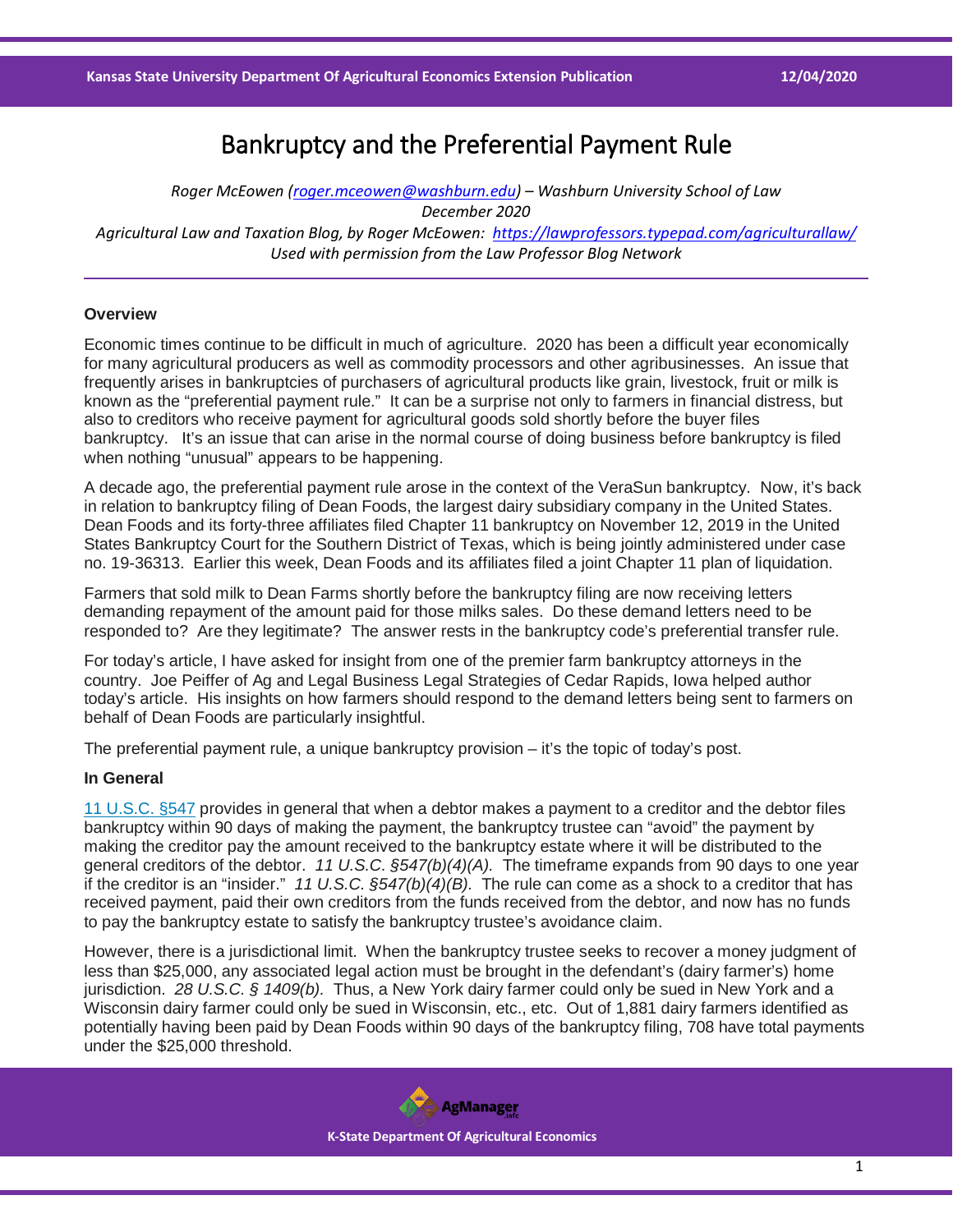# Bankruptcy and the Preferential Payment Rule

*Roger McEowen [\(roger.mceowen@washburn.edu\)](mailto:roger.mceowen@washburn.edu) – Washburn University School of Law December 2020 Agricultural Law and Taxation Blog, by Roger McEowen:<https://lawprofessors.typepad.com/agriculturallaw/> Used with permission from the Law Professor Blog Network*

## **Overview**

Economic times continue to be difficult in much of agriculture. 2020 has been a difficult year economically for many agricultural producers as well as commodity processors and other agribusinesses. An issue that frequently arises in bankruptcies of purchasers of agricultural products like grain, livestock, fruit or milk is known as the "preferential payment rule." It can be a surprise not only to farmers in financial distress, but also to creditors who receive payment for agricultural goods sold shortly before the buyer files bankruptcy. It's an issue that can arise in the normal course of doing business before bankruptcy is filed when nothing "unusual" appears to be happening.

A decade ago, the preferential payment rule arose in the context of the VeraSun bankruptcy. Now, it's back in relation to bankruptcy filing of Dean Foods, the largest dairy subsidiary company in the United States. Dean Foods and its forty-three affiliates filed Chapter 11 bankruptcy on November 12, 2019 in the United States Bankruptcy Court for the Southern District of Texas, which is being jointly administered under case no. 19-36313. Earlier this week, Dean Foods and its affiliates filed a joint Chapter 11 plan of liquidation.

Farmers that sold milk to Dean Farms shortly before the bankruptcy filing are now receiving letters demanding repayment of the amount paid for those milks sales. Do these demand letters need to be responded to? Are they legitimate? The answer rests in the bankruptcy code's preferential transfer rule.

For today's article, I have asked for insight from one of the premier farm bankruptcy attorneys in the country. Joe Peiffer of Ag and Legal Business Legal Strategies of Cedar Rapids, Iowa helped author today's article. His insights on how farmers should respond to the demand letters being sent to farmers on behalf of Dean Foods are particularly insightful.

The preferential payment rule, a unique bankruptcy provision – it's the topic of today's post.

## **In General**

[11 U.S.C. §547](https://casetext.com/statute/united-states-code/title-11-bankruptcy/chapter-5-creditors-the-debtor-and-the-estate/subchapter-iii-the-estate/section-547-preferences?ref=ArRBZs!yiuGaT) provides in general that when a debtor makes a payment to a creditor and the debtor files bankruptcy within 90 days of making the payment, the bankruptcy trustee can "avoid" the payment by making the creditor pay the amount received to the bankruptcy estate where it will be distributed to the general creditors of the debtor. *11 U.S.C. §547(b)(4)(A).* The timeframe expands from 90 days to one year if the creditor is an "insider." *11 U.S.C. §547(b)(4)(B).* The rule can come as a shock to a creditor that has received payment, paid their own creditors from the funds received from the debtor, and now has no funds to pay the bankruptcy estate to satisfy the bankruptcy trustee's avoidance claim.

However, there is a jurisdictional limit. When the bankruptcy trustee seeks to recover a money judgment of less than \$25,000, any associated legal action must be brought in the defendant's (dairy farmer's) home jurisdiction. *28 U.S.C. § 1409(b).* Thus, a New York dairy farmer could only be sued in New York and a Wisconsin dairy farmer could only be sued in Wisconsin, etc., etc. Out of 1,881 dairy farmers identified as potentially having been paid by Dean Foods within 90 days of the bankruptcy filing, 708 have total payments under the \$25,000 threshold.

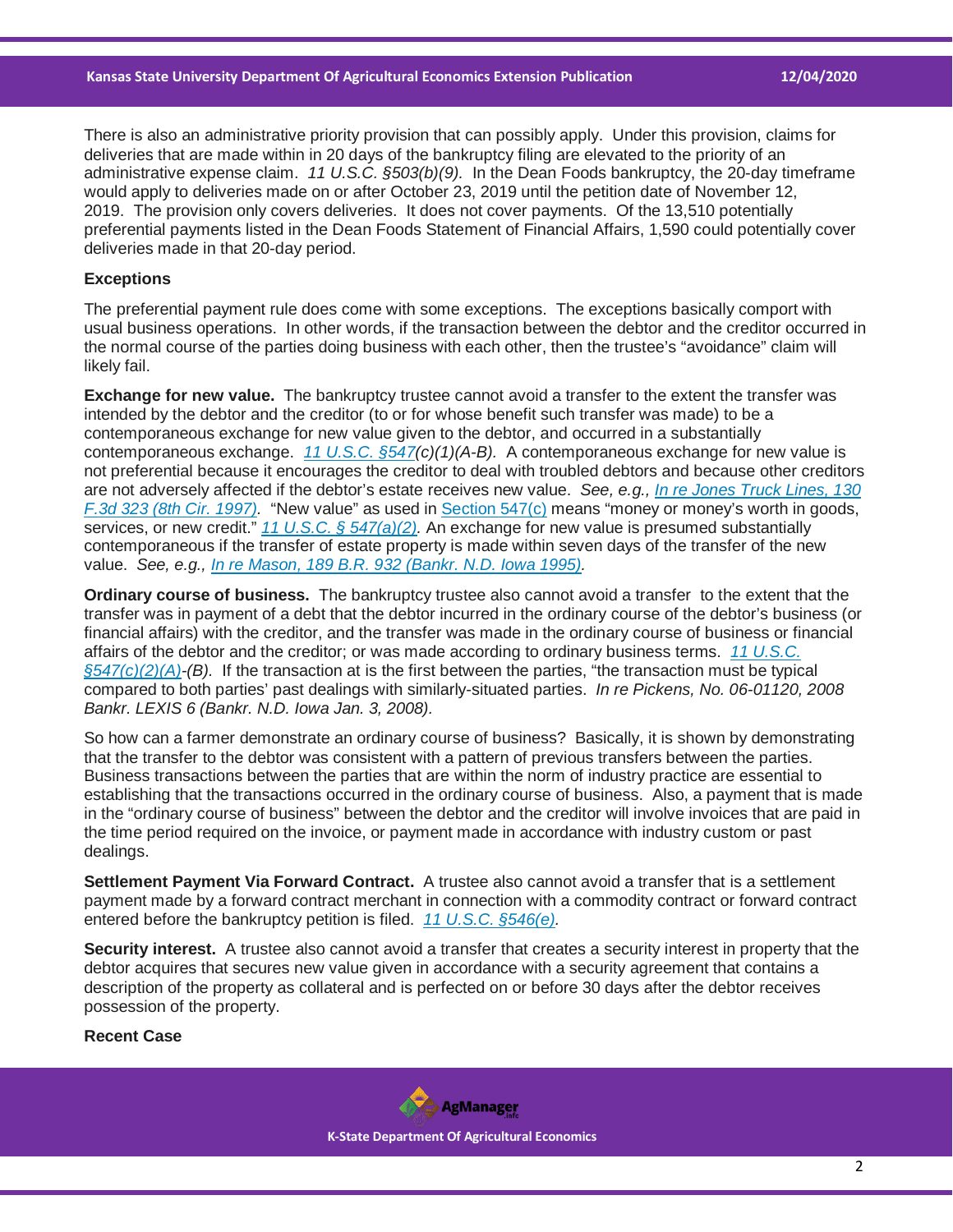There is also an administrative priority provision that can possibly apply. Under this provision, claims for deliveries that are made within in 20 days of the bankruptcy filing are elevated to the priority of an administrative expense claim. *11 U.S.C. §503(b)(9).* In the Dean Foods bankruptcy, the 20-day timeframe would apply to deliveries made on or after October 23, 2019 until the petition date of November 12, 2019. The provision only covers deliveries. It does not cover payments. Of the 13,510 potentially preferential payments listed in the Dean Foods Statement of Financial Affairs, 1,590 could potentially cover deliveries made in that 20-day period.

#### **Exceptions**

The preferential payment rule does come with some exceptions. The exceptions basically comport with usual business operations. In other words, if the transaction between the debtor and the creditor occurred in the normal course of the parties doing business with each other, then the trustee's "avoidance" claim will likely fail.

**Exchange for new value.** The bankruptcy trustee cannot avoid a transfer to the extent the transfer was intended by the debtor and the creditor (to or for whose benefit such transfer was made) to be a contemporaneous exchange for new value given to the debtor, and occurred in a substantially contemporaneous exchange. *[11 U.S.C. §547\(](https://casetext.com/statute/united-states-code/title-11-bankruptcy/chapter-5-creditors-the-debtor-and-the-estate/subchapter-iii-the-estate/section-547-preferences?ref=ArRBZs!yiuGaT)c)(1)(A-B).* A contemporaneous exchange for new value is not preferential because it encourages the creditor to deal with troubled debtors and because other creditors are not adversely affected if the debtor's estate receives new value. *See, e.g., [In re Jones Truck Lines, 130](https://casetext.com/case/in-re-jones-truck-lines-inc-4?ref=ArRBZs!lpUA5w)  [F.3d 323 \(8th Cir. 1997\).](https://casetext.com/case/in-re-jones-truck-lines-inc-4?ref=ArRBZs!lpUA5w)* "New value" as used in [Section 547\(c\)](https://casetext.com/statute/united-states-code/title-11-bankruptcy/chapter-5-creditors-the-debtor-and-the-estate/subchapter-iii-the-estate/section-547-preferences?ref=ArRBZs!yiuGaT) means "money or money's worth in goods, services, or new credit." *[11 U.S.C. § 547\(a\)\(2\).](https://casetext.com/statute/united-states-code/title-11-bankruptcy/chapter-5-creditors-the-debtor-and-the-estate/subchapter-iii-the-estate/section-547-preferences?ref=ArRBZs!yiuGaT)* An exchange for new value is presumed substantially contemporaneous if the transfer of estate property is made within seven days of the transfer of the new value. *See, e.g., [In re Mason, 189 B.R. 932 \(Bankr. N.D. Iowa 1995\).](https://casetext.com/case/in-re-mason-34?ref=ArRBZs!a3rs6M)*

**Ordinary course of business.** The bankruptcy trustee also cannot avoid a transfer to the extent that the transfer was in payment of a debt that the debtor incurred in the ordinary course of the debtor's business (or financial affairs) with the creditor, and the transfer was made in the ordinary course of business or financial affairs of the debtor and the creditor; or was made according to ordinary business terms. *[11 U.S.C.](https://casetext.com/statute/united-states-code/title-11-bankruptcy/chapter-5-creditors-the-debtor-and-the-estate/subchapter-iii-the-estate/section-547-preferences?ref=ArRBZs!yiuGaT)  [§547\(c\)\(2\)\(A\)-](https://casetext.com/statute/united-states-code/title-11-bankruptcy/chapter-5-creditors-the-debtor-and-the-estate/subchapter-iii-the-estate/section-547-preferences?ref=ArRBZs!yiuGaT)(B).* If the transaction at is the first between the parties, "the transaction must be typical compared to both parties' past dealings with similarly-situated parties. *In re Pickens, No. 06-01120, 2008 Bankr. LEXIS 6 (Bankr. N.D. Iowa Jan. 3, 2008).*

So how can a farmer demonstrate an ordinary course of business? Basically, it is shown by demonstrating that the transfer to the debtor was consistent with a pattern of previous transfers between the parties. Business transactions between the parties that are within the norm of industry practice are essential to establishing that the transactions occurred in the ordinary course of business. Also, a payment that is made in the "ordinary course of business" between the debtor and the creditor will involve invoices that are paid in the time period required on the invoice, or payment made in accordance with industry custom or past dealings.

**Settlement Payment Via Forward Contract.** A trustee also cannot avoid a transfer that is a settlement payment made by a forward contract merchant in connection with a commodity contract or forward contract entered before the bankruptcy petition is filed. *[11 U.S.C. §546\(e\).](https://casetext.com/statute/united-states-code/title-11-bankruptcy/chapter-5-creditors-the-debtor-and-the-estate/subchapter-iii-the-estate/section-546-limitations-on-avoiding-powers?ref=ArRBZs!b2393R)*

**Security interest.** A trustee also cannot avoid a transfer that creates a security interest in property that the debtor acquires that secures new value given in accordance with a security agreement that contains a description of the property as collateral and is perfected on or before 30 days after the debtor receives possession of the property.

# **Recent Case**

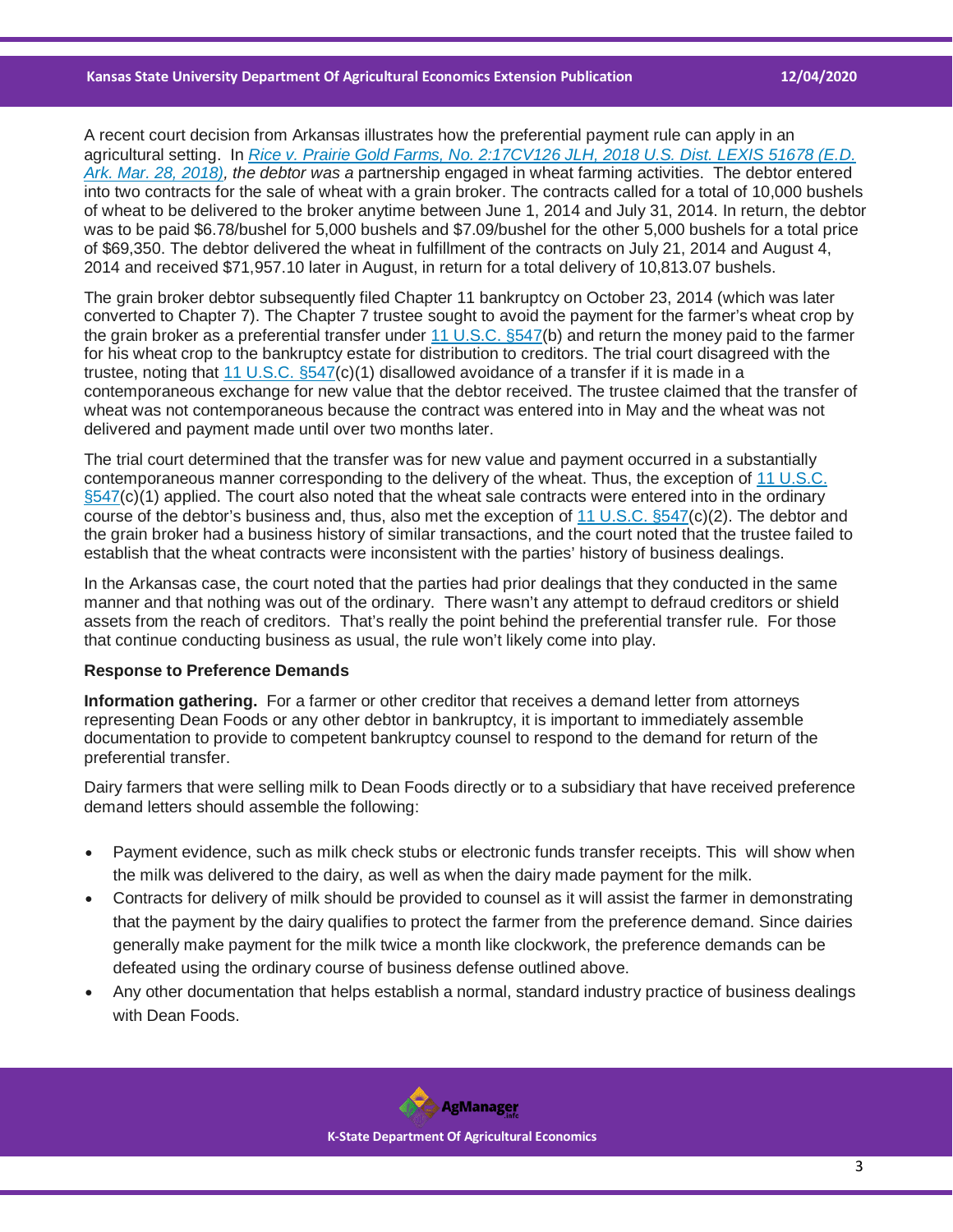### **Kansas State University Department Of Agricultural Economics Extension Publication 12/04/2020**

A recent court decision from Arkansas illustrates how the preferential payment rule can apply in an agricultural setting. In *[Rice v. Prairie Gold Farms, No. 2:17CV126 JLH, 2018 U.S. Dist. LEXIS 51678 \(E.D.](https://casetext.com/case/rice-v-prairie-gold-farms?ref=ArRBZs!zoC1ME)  [Ark. Mar. 28, 2018\),](https://casetext.com/case/rice-v-prairie-gold-farms?ref=ArRBZs!zoC1ME) the debtor was a* partnership engaged in wheat farming activities. The debtor entered into two contracts for the sale of wheat with a grain broker. The contracts called for a total of 10,000 bushels of wheat to be delivered to the broker anytime between June 1, 2014 and July 31, 2014. In return, the debtor was to be paid \$6.78/bushel for 5,000 bushels and \$7.09/bushel for the other 5,000 bushels for a total price of \$69,350. The debtor delivered the wheat in fulfillment of the contracts on July 21, 2014 and August 4, 2014 and received \$71,957.10 later in August, in return for a total delivery of 10,813.07 bushels.

The grain broker debtor subsequently filed Chapter 11 bankruptcy on October 23, 2014 (which was later converted to Chapter 7). The Chapter 7 trustee sought to avoid the payment for the farmer's wheat crop by the grain broker as a preferential transfer under [11 U.S.C. §547\(](https://casetext.com/statute/united-states-code/title-11-bankruptcy/chapter-5-creditors-the-debtor-and-the-estate/subchapter-iii-the-estate/section-547-preferences?ref=ArRBZs!yiuGaT)b) and return the money paid to the farmer for his wheat crop to the bankruptcy estate for distribution to creditors. The trial court disagreed with the trustee, noting that 11 U.S.C.  $\S 547(c)(1)$  disallowed avoidance of a transfer if it is made in a contemporaneous exchange for new value that the debtor received. The trustee claimed that the transfer of wheat was not contemporaneous because the contract was entered into in May and the wheat was not delivered and payment made until over two months later.

The trial court determined that the transfer was for new value and payment occurred in a substantially contemporaneous manner corresponding to the delivery of the wheat. Thus, the exception of 11 U.S.C.  $\S547(c)(1)$  applied. The court also noted that the wheat sale contracts were entered into in the ordinary course of the debtor's business and, thus, also met the exception of [11 U.S.C. §547\(](https://casetext.com/statute/united-states-code/title-11-bankruptcy/chapter-5-creditors-the-debtor-and-the-estate/subchapter-iii-the-estate/section-547-preferences?ref=ArRBZs!yiuGaT)c)(2). The debtor and the grain broker had a business history of similar transactions, and the court noted that the trustee failed to establish that the wheat contracts were inconsistent with the parties' history of business dealings.

In the Arkansas case, the court noted that the parties had prior dealings that they conducted in the same manner and that nothing was out of the ordinary. There wasn't any attempt to defraud creditors or shield assets from the reach of creditors. That's really the point behind the preferential transfer rule. For those that continue conducting business as usual, the rule won't likely come into play.

## **Response to Preference Demands**

**Information gathering.** For a farmer or other creditor that receives a demand letter from attorneys representing Dean Foods or any other debtor in bankruptcy, it is important to immediately assemble documentation to provide to competent bankruptcy counsel to respond to the demand for return of the preferential transfer.

Dairy farmers that were selling milk to Dean Foods directly or to a subsidiary that have received preference demand letters should assemble the following:

- Payment evidence, such as milk check stubs or electronic funds transfer receipts. This will show when the milk was delivered to the dairy, as well as when the dairy made payment for the milk.
- Contracts for delivery of milk should be provided to counsel as it will assist the farmer in demonstrating that the payment by the dairy qualifies to protect the farmer from the preference demand. Since dairies generally make payment for the milk twice a month like clockwork, the preference demands can be defeated using the ordinary course of business defense outlined above.
- Any other documentation that helps establish a normal, standard industry practice of business dealings with Dean Foods.

**AgManager K-State Department Of Agricultural Economics**